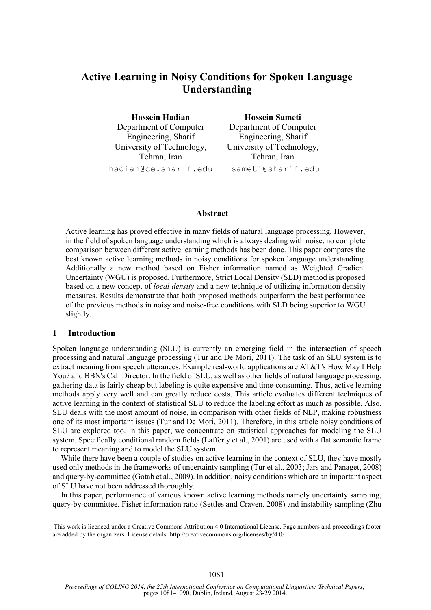# **Active Learning in Noisy Conditions for Spoken Language Understanding**

**Hossein Hadian** Department of Computer Engineering, Sharif University of Technology, Tehran, Iran hadian@ce.sharif.edu

**Hossein Sameti** Department of Computer Engineering, Sharif University of Technology, Tehran, Iran sameti@sharif.edu

#### **Abstract**

Active learning has proved effective in many fields of natural language processing. However, in the field of spoken language understanding which is always dealing with noise, no complete comparison between different active learning methods has been done. This paper compares the best known active learning methods in noisy conditions for spoken language understanding. Additionally a new method based on Fisher information named as Weighted Gradient Uncertainty (WGU) is proposed. Furthermore, Strict Local Density (SLD) method is proposed based on a new concept of *local density* and a new technique of utilizing information density measures. Results demonstrate that both proposed methods outperform the best performance of the previous methods in noisy and noise-free conditions with SLD being superior to WGU slightly.

#### **1 Introduction**

l

Spoken language understanding (SLU) is currently an emerging field in the intersection of speech processing and natural language processing (Tur and De Mori, 2011). The task of an SLU system is to extract meaning from speech utterances. Example real-world applications are AT&T's How May I Help You? and BBN's Call Director. In the field of SLU, as well as other fields of natural language processing, gathering data is fairly cheap but labeling is quite expensive and time-consuming. Thus, active learning methods apply very well and can greatly reduce costs. This article evaluates different techniques of active learning in the context of statistical SLU to reduce the labeling effort as much as possible. Also, SLU deals with the most amount of noise, in comparison with other fields of NLP, making robustness one of its most important issues (Tur and De Mori, 2011). Therefore, in this article noisy conditions of SLU are explored too. In this paper, we concentrate on statistical approaches for modeling the SLU system. Specifically conditional random fields (Lafferty et al., 2001) are used with a flat semantic frame to represent meaning and to model the SLU system.

While there have been a couple of studies on active learning in the context of SLU, they have mostly used only methods in the frameworks of uncertainty sampling (Tur et al., 2003; Jars and Panaget, 2008) and query-by-committee (Gotab et al., 2009). In addition, noisy conditions which are an important aspect of SLU have not been addressed thoroughly.

In this paper, performance of various known active learning methods namely uncertainty sampling, query-by-committee, Fisher information ratio (Settles and Craven, 2008) and instability sampling (Zhu

This work is licenced under a Creative Commons Attribution 4.0 International License. Page numbers and proceedings footer are added by the organizers. License details: http://creativecommons.org/licenses/by/4.0/.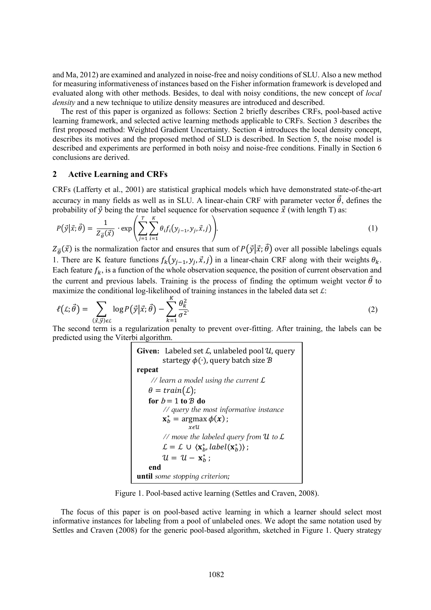and Ma, 2012) are examined and analyzed in noise-free and noisy conditions of SLU. Also a new method for measuring informativeness of instances based on the Fisher information framework is developed and evaluated along with other methods. Besides, to deal with noisy conditions, the new concept of *local density* and a new technique to utilize density measures are introduced and described.

The rest of this paper is organized as follows: Section 2 briefly describes CRFs, pool-based active learning framework, and selected active learning methods applicable to CRFs. Section 3 describes the first proposed method: Weighted Gradient Uncertainty. Section 4 introduces the local density concept, describes its motives and the proposed method of SLD is described. In Section 5, the noise model is described and experiments are performed in both noisy and noise-free conditions. Finally in Section 6 conclusions are derived.

#### **2 Active Learning and CRFs**

CRFs (Lafferty et al., 2001) are statistical graphical models which have demonstrated state-of-the-art accuracy in many fields as well as in SLU. A linear-chain CRF with parameter vector  $\vec{\theta}$ , defines the probability of  $\vec{y}$  being the true label sequence for observation sequence  $\vec{x}$  (with length T) as:

$$
P(\vec{y}|\vec{x};\vec{\theta}) = \frac{1}{Z_{\vec{\theta}}(\vec{x})} \cdot \exp\left(\sum_{j=1}^{T} \sum_{i=1}^{K} \theta_{i} f_{i}(y_{j-1}, y_{j}, \vec{x}, j)\right).
$$
(1)

 $Z_{\vec{\theta}}(\vec{x})$  is the normalization factor and ensures that sum of  $P(\vec{y}|\vec{x}; \vec{\theta})$  over all possible labelings equals 1. There are K feature functions  $f_k(y_{j-1}, y_j, \vec{x}, j)$  in a linear-chain CRF along with their weights  $\theta_k$ . Each feature  $f_k$ , is a function of the whole observation sequence, the position of current observation and the current and previous labels. Training is the process of finding the optimum weight vector  $\vec{\theta}$  to maximize the conditional log-likelihood of training instances in the labeled data set  $\mathcal{L}$ :

$$
\ell(\mathcal{L}; \vec{\theta}) = \sum_{(\vec{x}, \vec{y}) \in \mathcal{L}} \log P(\vec{y} | \vec{x}; \vec{\theta}) - \sum_{k=1}^{K} \frac{\theta_k^2}{\sigma^2}.
$$
 (2)

The second term is a regularization penalty to prevent over-fitting. After training, the labels can be predicted using the Viterbi algorithm.

```
Given: Labeled set \mathcal{L}, unlabeled pool \mathcal{U}, query
           startegy \phi(\cdot), query batch size \mathcal Brepeat
      // learn a model using the current ℒ
    \theta = train(L);for b = 1 to B do// query the most informative instance
           \mathbf{x}_b^* = \argmax \phi(\mathbf{x});
                      xεU
           // move the labeled query from U to L
           \mathcal{L} = \mathcal{L} \cup \langle \mathbf{x}_b^*, label(\mathbf{x}_b^*) \rangle;
           u = u - \mathbf{x}_b^*;
      end
until some stopping criterion;
```
Figure 1. Pool-based active learning (Settles and Craven, 2008).

The focus of this paper is on pool-based active learning in which a learner should select most informative instances for labeling from a pool of unlabeled ones. We adopt the same notation used by Settles and Craven (2008) for the generic pool-based algorithm, sketched in Figure 1. Query strategy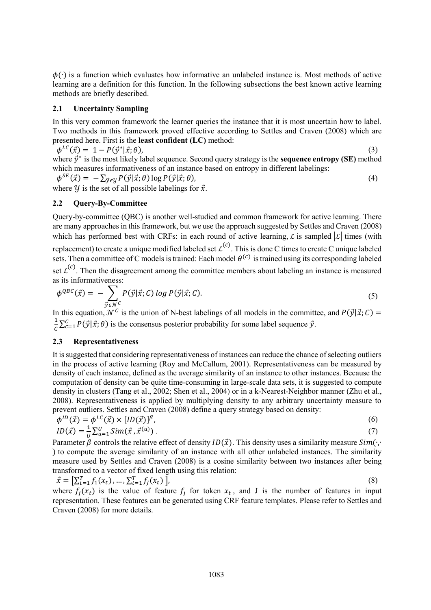$\phi(\cdot)$  is a function which evaluates how informative an unlabeled instance is. Most methods of active learning are a definition for this function. In the following subsections the best known active learning methods are briefly described.

### **2.1 Uncertainty Sampling**

In this very common framework the learner queries the instance that it is most uncertain how to label. Two methods in this framework proved effective according to Settles and Craven (2008) which are presented here. First is the **least confident (LC)** method:

 $\phi^{LC}(\vec{x}) = 1 - P(\vec{y}^*)$  $|\vec{x}; \theta)$ , (3) where  $\vec{y}^*$  is the most likely label sequence. Second query strategy is the **sequence entropy** (SE) method which measures informativeness of an instance based on entropy in different labelings:

 $\phi^{SE}(\vec{x}) = -\sum_{\vec{y} \in \mathcal{Y}} P(\vec{y} | \vec{x}; \theta) \log P(\vec{y} | \vec{x}; \theta),$ (4) where  $\gamma$  is the set of all possible labelings for  $\vec{x}$ .

## **2.2 Query-By-Committee**

Query-by-committee (QBC) is another well-studied and common framework for active learning. There are many approaches in this framework, but we use the approach suggested by Settles and Craven (2008) which has performed best with CRFs: in each round of active learning, L is sampled  $|\mathcal{L}|$  times (with replacement) to create a unique modified labeled set  $\mathcal{L}^{(c)}$ . This is done C times to create C unique labeled sets. Then a committee of C models is trained: Each model  $\theta^{(c)}$  is trained using its corresponding labeled set  $\mathcal{L}^{(c)}$ . Then the disagreement among the committee members about labeling an instance is measured as its informativeness:

$$
\phi^{QBC}(\vec{x}) = -\sum_{\vec{y} \in \mathcal{N}^C} P(\vec{y}|\vec{x}; C) \log P(\vec{y}|\vec{x}; C). \tag{5}
$$

In this equation,  $\mathcal{N}^c$  is the union of N-best labelings of all models in the committee, and  $P(\vec{y}|\vec{x}; C)$  = 1  $\frac{1}{C}\sum_{c=1}^{C} P(\vec{y}|\vec{x}; \theta)$  is the consensus posterior probability for some label sequence  $\vec{y}$ .

## **2.3 Representativeness**

It is suggested that considering representativeness of instances can reduce the chance of selecting outliers in the process of active learning (Roy and McCallum, 2001). Representativeness can be measured by density of each instance, defined as the average similarity of an instance to other instances. Because the computation of density can be quite time-consuming in large-scale data sets, it is suggested to compute density in clusters (Tang et al., 2002; Shen et al., 2004) or in a k-Nearest-Neighbor manner (Zhu et al., 2008). Representativeness is applied by multiplying density to any arbitrary uncertainty measure to prevent outliers. Settles and Craven (2008) define a query strategy based on density:

$$
\phi^{ID}(\vec{x}) = \phi^{LC}(\vec{x}) \times [ID(\vec{x})]^{\beta},
$$
  
\n
$$
ID(\vec{x}) = \frac{1}{U} \sum_{u=1}^{U} Sim(\vec{x}, \vec{x}^{(u)}).
$$
\n(7)

Parameter  $\beta$  controls the relative effect of density  $ID(\vec{x})$ . This density uses a similarity measure  $Sim(\cdot, \cdot)$ ) to compute the average similarity of an instance with all other unlabeled instances. The similarity measure used by Settles and Craven (2008) is a cosine similarity between two instances after being transformed to a vector of fixed length using this relation:

$$
\vec{x} = \left[\sum_{t=1}^{T} f_1(x_t), \dots, \sum_{t=1}^{T} f_j(x_t)\right],
$$
\nwhere  $f_j(x_t)$  is the value of feature  $f_j$  for token  $x_t$ , and J is the number of features in input

representation. These features can be generated using CRF feature templates. Please refer to Settles and Craven (2008) for more details.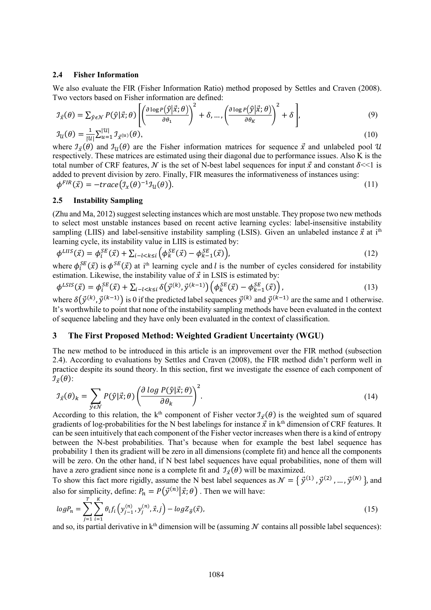#### **2.4 Fisher Information**

We also evaluate the FIR (Fisher Information Ratio) method proposed by Settles and Craven (2008). Two vectors based on Fisher information are defined:

$$
\mathcal{I}_{\vec{x}}(\theta) = \sum_{\hat{y} \in \mathcal{N}} P(\hat{y} | \vec{x}; \theta) \left[ \left( \frac{\partial \log P(\hat{y} | \vec{x}; \theta)}{\partial \theta_1} \right)^2 + \delta, \dots, \left( \frac{\partial \log P(\hat{y} | \vec{x}; \theta)}{\partial \theta_K} \right)^2 + \delta \right],
$$
\n(9)\n
$$
\mathcal{I}_{\mathcal{U}}(\theta) = \frac{1}{|\mathcal{U}|} \sum_{u=1}^{|\mathcal{U}|} \mathcal{I}_{\vec{x}}(u(\theta), \tag{9}
$$

where 
$$
\mathcal{I}_{\vec{x}}(\theta)
$$
 and  $\mathcal{I}_{\mathcal{U}}(\theta)$  are the Fisher information matrices for sequence  $\vec{x}$  and unlabeled pool  $\mathcal{U}$  respectively. These matrices are estimated using their diagonal due to performance issues. Also K is the total number of CRF features,  $\mathcal{N}$  is the set of N-best label sequences for input  $\vec{x}$  and constant  $\delta \ll 1$  is added to prevent division by zero. Finally, FIR measures the informativeness of instances using:

$$
\phi^{FIR}(\vec{x}) = -trace(\mathcal{I}_x(\theta)^{-1}\mathcal{I}_u(\theta)).
$$
\n(11)

#### **2.5 Instability Sampling**

(Zhu and Ma, 2012) suggest selecting instances which are most unstable. They propose two new methods to select most unstable instances based on recent active learning cycles: label-insensitive instability sampling (LIIS) and label-sensitive instability sampling (LSIS). Given an unlabeled instance  $\vec{x}$  at i<sup>th</sup> learning cycle, its instability value in LIIS is estimated by:

$$
\phi^{LHS}(\vec{x}) = \phi_i^{SE}(\vec{x}) + \sum_{i-l < k \le i} \left( \phi_k^{SE}(\vec{x}) - \phi_{k-1}^{SE}(\vec{x}) \right),\tag{12}
$$

where  $\phi_i^{SE}(\vec{x})$  is  $\phi^{SE}(\vec{x})$  at i<sup>th</sup> learning cycle and *l* is the number of cycles considered for instability estimation. Likewise, the instability value of  $\vec{x}$  in LSIS is estimated by:

$$
\phi^{LSIS}(\vec{x}) = \phi_i^{SE}(\vec{x}) + \sum_{i-l < k \le i} \delta(\vec{y}^{(k)}, \vec{y}^{(k-1)}) \left( \phi_k^{SE}(\vec{x}) - \phi_{k-1}^{SE}(\vec{x}) \right),\tag{13}
$$

where  $\delta(\vec{y}^{(k)}, \vec{y}^{(k-1)})$  is 0 if the predicted label sequences  $\vec{y}^{(k)}$  and  $\vec{y}^{(k-1)}$  are the same and 1 otherwise. It's worthwhile to point that none of the instability sampling methods have been evaluated in the context of sequence labeling and they have only been evaluated in the context of classification.

#### **3 The First Proposed Method: Weighted Gradient Uncertainty (WGU)**

The new method to be introduced in this article is an improvement over the FIR method (subsection 2.4). According to evaluations by Settles and Craven (2008), the FIR method didn't perform well in practice despite its sound theory. In this section, first we investigate the essence of each component of  $\mathcal{I}_{\vec{x}}(\theta)$ :

$$
\mathcal{I}_{\vec{x}}(\theta)_k = \sum_{\hat{y} \in \mathcal{N}} P(\hat{y}|\vec{x};\theta) \left(\frac{\partial \log P(\hat{y}|\vec{x};\theta)}{\partial \theta_k}\right)^2.
$$
 (14)

According to this relation, the k<sup>th</sup> component of Fisher vector  $\mathcal{I}_{\vec{x}}(\theta)$  is the weighted sum of squared gradients of log-probabilities for the N best labelings for instance  $\vec{x}$  in  $k^{\text{th}}$  dimension of CRF features. It can be seen intuitively that each component of the Fisher vector increases when there is a kind of entropy between the N-best probabilities. That's because when for example the best label sequence has probability 1 then its gradient will be zero in all dimensions (complete fit) and hence all the components will be zero. On the other hand, if N best label sequences have equal probabilities, none of them will have a zero gradient since none is a complete fit and  $\mathcal{I}_{\vec{x}}(\theta)$  will be maximized.

To show this fact more rigidly, assume the N best label sequences as  $\mathcal{N} = \{ \vec{y}^{(1)}, \vec{y}^{(2)}, ..., \vec{y}^{(N)} \}$ , and also for simplicity, define:  $P_n = P(\vec{y}^{(n)} | \vec{x}; \theta)$  . Then we will have:

$$
log P_n = \sum_{j=1}^T \sum_{i=1}^K \theta_i f_i \left( y_{j-1}^{(n)}, y_j^{(n)}, \vec{x}, j \right) - log Z_{\vec{\theta}}(\vec{x}), \tag{15}
$$

and so, its partial derivative in  $k<sup>th</sup>$  dimension will be (assuming  $N$  contains all possible label sequences):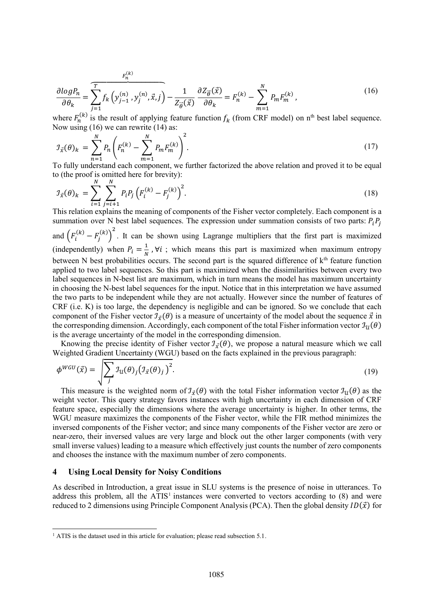$$
\frac{\partial \log P_n}{\partial \theta_k} = \sum_{j=1}^T f_k \left( y_{j-1}^{(n)}, y_j^{(n)}, \vec{x}, j \right) - \frac{1}{Z_{\vec{\theta}}(\vec{x})} \frac{\partial Z_{\vec{\theta}}(\vec{x})}{\partial \theta_k} = F_n^{(k)} - \sum_{m=1}^N P_m F_m^{(k)}, \tag{16}
$$

where  $F_n^{(k)}$  is the result of applying feature function  $f_k$  (from CRF model) on n<sup>th</sup> best label sequence. Now using (16) we can rewrite (14) as:

$$
\mathcal{I}_{\vec{x}}(\theta)_k = \sum_{n=1}^N P_n \left( F_n^{(k)} - \sum_{m=1}^N P_m F_m^{(k)} \right)^2.
$$
\n[a) The integral is the value of the above relation and proved it to be a small.

To fully understand each component, we further factorized the above relation and proved it to be equal to (the proof is omitted here for brevity):

$$
\mathcal{I}_{\vec{x}}(\theta)_k = \sum_{i=1}^N \sum_{j=i+1}^N P_i P_j \left( F_i^{(k)} - F_j^{(k)} \right)^2.
$$
\n(18)

This relation explains the meaning of components of the Fisher vector completely. Each component is a summation over N best label sequences. The expression under summation consists of two parts:  $P_i P_i$ and  $(F_i^{(k)} - F_j^{(k)})^2$ . It can be shown using Lagrange multipliers that the first part is maximized (independently) when  $P_i = \frac{1}{N}$  $\frac{1}{N}$ ,  $\forall i$ ; which means this part is maximized when maximum entropy between N best probabilities occurs. The second part is the squared difference of k<sup>th</sup> feature function applied to two label sequences. So this part is maximized when the dissimilarities between every two label sequences in N-best list are maximum, which in turn means the model has maximum uncertainty in choosing the N-best label sequences for the input. Notice that in this interpretation we have assumed the two parts to be independent while they are not actually. However since the number of features of CRF (i.e. K) is too large, the dependency is negligible and can be ignored. So we conclude that each component of the Fisher vector  $\mathcal{I}_{\vec{x}}(\theta)$  is a measure of uncertainty of the model about the sequence  $\vec{x}$  in the corresponding dimension. Accordingly, each component of the total Fisher information vector  $\mathcal{I}_{\mathcal{U}}(\theta)$ is the average uncertainty of the model in the corresponding dimension.

Knowing the precise identity of Fisher vector  $\mathcal{I}_{\vec{x}}(\theta)$ , we propose a natural measure which we call Weighted Gradient Uncertainty (WGU) based on the facts explained in the previous paragraph:

$$
\phi^{WGU}(\vec{x}) = \sqrt{\sum_{j} \mathcal{I}_{\mathcal{U}}(\theta)_{j} (\mathcal{I}_{\vec{x}}(\theta))_{j}})^{2}.
$$
\n(19)

This measure is the weighted norm of  $\mathcal{I}_{\vec{x}}(\theta)$  with the total Fisher information vector  $\mathcal{I}_{\vec{u}}(\theta)$  as the weight vector. This query strategy favors instances with high uncertainty in each dimension of CRF feature space, especially the dimensions where the average uncertainty is higher. In other terms, the WGU measure maximizes the components of the Fisher vector, while the FIR method minimizes the inversed components of the Fisher vector; and since many components of the Fisher vector are zero or near-zero, their inversed values are very large and block out the other larger components (with very small inverse values) leading to a measure which effectively just counts the number of zero components and chooses the instance with the maximum number of zero components.

#### **4 Using Local Density for Noisy Conditions**

l

As described in Introduction, a great issue in SLU systems is the presence of noise in utterances. To address this problem, all the  $ATIS<sup>1</sup>$  instances were converted to vectors according to  $(8)$  and were reduced to 2 dimensions using Principle Component Analysis (PCA). Then the global density  $ID(\vec{x})$  for

<sup>&</sup>lt;sup>1</sup> ATIS is the dataset used in this article for evaluation; please read subsection 5.1.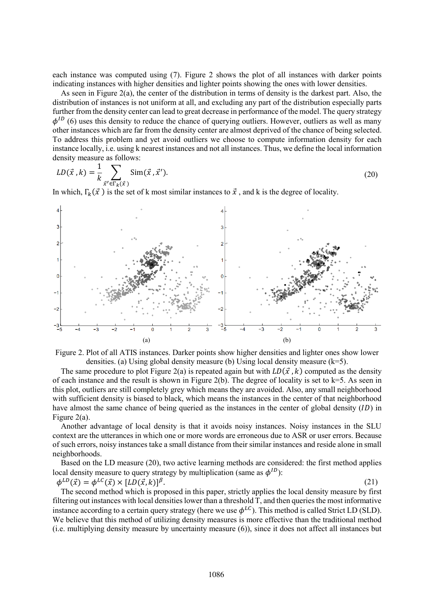each instance was computed using (7). Figure 2 shows the plot of all instances with darker points indicating instances with higher densities and lighter points showing the ones with lower densities.

As seen in Figure 2(a), the center of the distribution in terms of density is the darkest part. Also, the distribution of instances is not uniform at all, and excluding any part of the distribution especially parts further from the density center can lead to great decrease in performance of the model. The query strategy  $\phi^{ID}$  (6) uses this density to reduce the chance of querying outliers. However, outliers as well as many other instances which are far from the density center are almost deprived of the chance of being selected. To address this problem and yet avoid outliers we choose to compute information density for each instance locally, i.e. using k nearest instances and not all instances. Thus, we define the local information density measure as follows:

$$
LD(\vec{x}, k) = \frac{1}{k} \sum_{\vec{x}' \in \Gamma_k(\vec{x})} \text{Sim}(\vec{x}, \vec{x}').
$$
 (20)

In which,  $\Gamma_k(\vec{x})$  is the set of k most similar instances to  $\vec{x}$ , and k is the degree of locality.





The same procedure to plot Figure 2(a) is repeated again but with  $LD(\vec{x}, k)$  computed as the density of each instance and the result is shown in Figure 2(b). The degree of locality is set to  $k=5$ . As seen in this plot, outliers are still completely grey which means they are avoided. Also, any small neighborhood with sufficient density is biased to black, which means the instances in the center of that neighborhood have almost the same chance of being queried as the instances in the center of global density  $(ID)$  in Figure 2(a).

Another advantage of local density is that it avoids noisy instances. Noisy instances in the SLU context are the utterances in which one or more words are erroneous due to ASR or user errors. Because of such errors, noisy instances take a small distance from their similar instances and reside alone in small neighborhoods.

Based on the LD measure (20), two active learning methods are considered: the first method applies local density measure to query strategy by multiplication (same as  $\phi^{ID}$ ):

 $\phi^{LD}(\vec{x}) = \phi^{LC}(\vec{x}) \times [LD(\vec{x}, k)]$  $\beta$ . (21)

The second method which is proposed in this paper, strictly applies the local density measure by first filtering out instances with local densities lower than a threshold T, and then queries the most informative instance according to a certain query strategy (here we use  $\phi^{LC}$ ). This method is called Strict LD (SLD). We believe that this method of utilizing density measures is more effective than the traditional method (i.e. multiplying density measure by uncertainty measure (6)), since it does not affect all instances but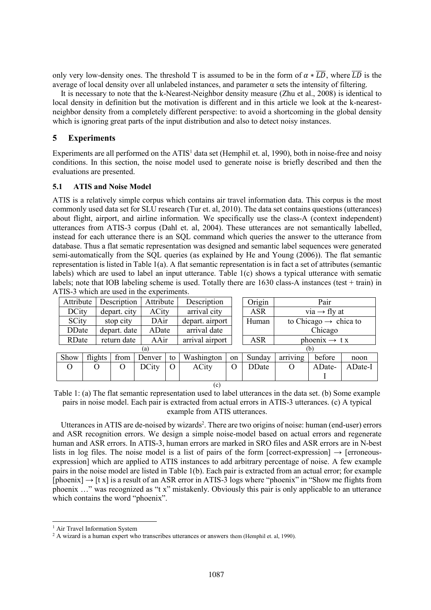only very low-density ones. The threshold T is assumed to be in the form of  $\alpha * \overline{LD}$ , where  $\overline{LD}$  is the average of local density over all unlabeled instances, and parameter  $\alpha$  sets the intensity of filtering.

It is necessary to note that the k-Nearest-Neighbor density measure (Zhu et al., 2008) is identical to local density in definition but the motivation is different and in this article we look at the k-nearestneighbor density from a completely different perspective: to avoid a shortcoming in the global density which is ignoring great parts of the input distribution and also to detect noisy instances.

## **5 Experiments**

Experiments are all performed on the  $ATIS<sup>1</sup>$  data set (Hemphil et. al, 1990), both in noise-free and noisy conditions. In this section, the noise model used to generate noise is briefly described and then the evaluations are presented.

#### **5.1 ATIS and Noise Model**

ATIS is a relatively simple corpus which contains air travel information data. This corpus is the most commonly used data set for SLU research (Tur et. al, 2010). The data set contains questions (utterances) about flight, airport, and airline information. We specifically use the class-A (context independent) utterances from ATIS-3 corpus (Dahl et. al, 2004). These utterances are not semantically labelled, instead for each utterance there is an SQL command which queries the answer to the utterance from database. Thus a flat sematic representation was designed and semantic label sequences were generated semi-automatically from the SQL queries (as explained by He and Young (2006)). The flat semantic representation is listed in Table 1(a). A flat semantic representation is in fact a set of attributes (semantic labels) which are used to label an input utterance. Table 1(c) shows a typical utterance with sematic labels; note that IOB labeling scheme is used. Totally there are 1630 class-A instances (test + train) in ATIS-3 which are used in the experiments.

|               | Attribute |              | Description | Attribute    |          | Description     |    | Origin        | Pair                              |        |         |
|---------------|-----------|--------------|-------------|--------------|----------|-----------------|----|---------------|-----------------------------------|--------|---------|
| <b>DCity</b>  |           | depart. city |             | ACity        |          | arrival city    |    | <b>ASR</b>    | via $\rightarrow$ fly at          |        |         |
| SCity         |           | stop city    |             | DAir         |          | depart. airport |    | Human         | to Chicago $\rightarrow$ chica to |        |         |
| <b>DD</b> ate |           | depart. date |             | ADate        |          | arrival date    |    |               | Chicago                           |        |         |
|               | RDate     |              | return date | AAir         |          | arrival airport |    | <b>ASR</b>    | phoenix $\rightarrow$ t x         |        |         |
| (a)<br>(b)    |           |              |             |              |          |                 |    |               |                                   |        |         |
| Show          | flights   |              | from        | Denver       | to       | Washington      | on | Sunday        | arriving                          | before | noon    |
| $\Omega$      | O         |              | $\Omega$    | <b>DCity</b> | $\Omega$ | <b>ACity</b>    | O  | <b>DD</b> ate | $\Omega$                          | ADate- | ADate-I |
|               |           |              |             |              |          |                 |    |               |                                   |        |         |
| (c)           |           |              |             |              |          |                 |    |               |                                   |        |         |

Table 1: (a) The flat semantic representation used to label utterances in the data set. (b) Some example pairs in noise model. Each pair is extracted from actual errors in ATIS-3 utterances. (c) A typical example from ATIS utterances.

Utterances in ATIS are de-noised by wizards<sup>2</sup>. There are two origins of noise: human (end-user) errors and ASR recognition errors. We design a simple noise-model based on actual errors and regenerate human and ASR errors. In ATIS-3, human errors are marked in SRO files and ASR errors are in N-best lists in log files. The noise model is a list of pairs of the form [correct-expression]  $\rightarrow$  [erroneousexpression] which are applied to ATIS instances to add arbitrary percentage of noise. A few example pairs in the noise model are listed in Table 1(b). Each pair is extracted from an actual error; for example  $[phonix] \rightarrow [tx]$  is a result of an ASR error in ATIS-3 logs where "phoenix" in "Show me flights from phoenix …" was recognized as "t x" mistakenly. Obviously this pair is only applicable to an utterance which contains the word "phoenix".

l

<sup>&</sup>lt;sup>1</sup> Air Travel Information System

<sup>&</sup>lt;sup>2</sup> A wizard is a human expert who transcribes utterances or answers them (Hemphil et. al, 1990).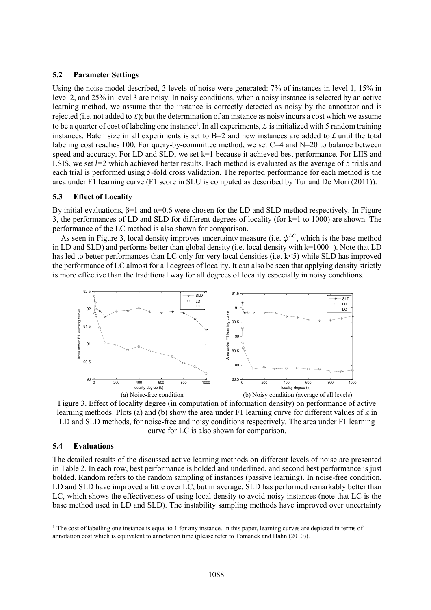#### **5.2 Parameter Settings**

Using the noise model described, 3 levels of noise were generated: 7% of instances in level 1, 15% in level 2, and 25% in level 3 are noisy. In noisy conditions, when a noisy instance is selected by an active learning method, we assume that the instance is correctly detected as noisy by the annotator and is rejected (i.e. not added to  $\mathcal{L}$ ); but the determination of an instance as noisy incurs a cost which we assume to be a quarter of cost of labeling one instance<sup>1</sup>. In all experiments,  $\mathcal L$  is initialized with 5 random training instances. Batch size in all experiments is set to B=2 and new instances are added to  $\mathcal L$  until the total labeling cost reaches 100. For query-by-committee method, we set  $C=4$  and  $N=20$  to balance between speed and accuracy. For LD and SLD, we set k=1 because it achieved best performance. For LIIS and LSIS, we set  $l=2$  which achieved better results. Each method is evaluated as the average of 5 trials and each trial is performed using 5-fold cross validation. The reported performance for each method is the area under F1 learning curve (F1 score in SLU is computed as described by Tur and De Mori (2011)).

#### **5.3 Effect of Locality**

By initial evaluations,  $β=1$  and  $α=0.6$  were chosen for the LD and SLD method respectively. In Figure 3, the performances of LD and SLD for different degrees of locality (for k=1 to 1000) are shown. The performance of the LC method is also shown for comparison.

As seen in Figure 3, local density improves uncertainty measure (i.e.  $\phi^{LC}$ , which is the base method in LD and SLD) and performs better than global density (i.e. local density with k=1000+). Note that LD has led to better performances than LC only for very local densities (i.e. k<5) while SLD has improved the performance of LC almost for all degrees of locality. It can also be seen that applying density strictly is more effective than the traditional way for all degrees of locality especially in noisy conditions.



Figure 3. Effect of locality degree (in computation of information density) on performance of active learning methods. Plots (a) and (b) show the area under F1 learning curve for different values of k in LD and SLD methods, for noise-free and noisy conditions respectively. The area under F1 learning curve for LC is also shown for comparison.

#### **5.4 Evaluations**

l

The detailed results of the discussed active learning methods on different levels of noise are presented in Table 2. In each row, best performance is bolded and underlined, and second best performance is just bolded. Random refers to the random sampling of instances (passive learning). In noise-free condition, LD and SLD have improved a little over LC, but in average, SLD has performed remarkably better than LC, which shows the effectiveness of using local density to avoid noisy instances (note that LC is the base method used in LD and SLD). The instability sampling methods have improved over uncertainty

<sup>&</sup>lt;sup>1</sup> The cost of labelling one instance is equal to 1 for any instance. In this paper, learning curves are depicted in terms of annotation cost which is equivalent to annotation time (please refer to Tomanek and Hahn (2010)).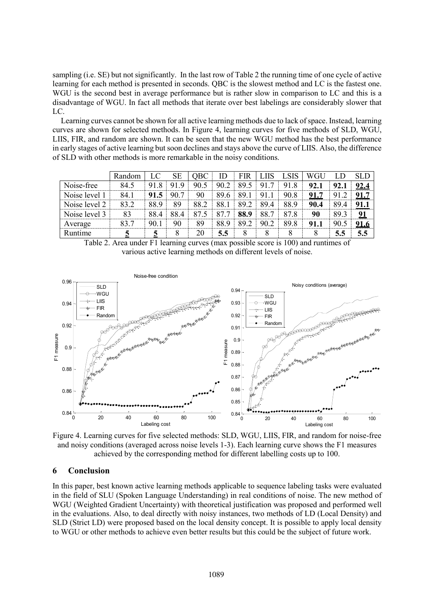sampling (i.e. SE) but not significantly. In the last row of Table 2 the running time of one cycle of active learning for each method is presented in seconds. QBC is the slowest method and LC is the fastest one. WGU is the second best in average performance but is rather slow in comparison to LC and this is a disadvantage of WGU. In fact all methods that iterate over best labelings are considerably slower that LC.

Learning curves cannot be shown for all active learning methods due to lack of space. Instead, learning curves are shown for selected methods. In Figure 4, learning curves for five methods of SLD, WGU, LIIS, FIR, and random are shown. It can be seen that the new WGU method has the best performance in early stages of active learning but soon declines and stays above the curve of LIIS. Also, the difference of SLD with other methods is more remarkable in the noisy conditions.

|               | Random |      | SЕ   | <b>OBC</b> | ID   | FIR  |                      |      | WGU  |      |             |
|---------------|--------|------|------|------------|------|------|----------------------|------|------|------|-------------|
| Noise-free    | 84.5   | 918  | 919  | 90.5       | 90.2 | 89.5 | 91<br>7              | 91.8 | 92.1 | 92.1 | 92.4        |
| Noise level 1 | 84.1   | 91.5 | 90.7 | 90         | 89.6 | 891  | 91                   | 90.8 | 91.7 | 91   | <u>91.7</u> |
| Noise level 2 | 83.2   | 88.9 | 89   | 88.2       | 88.1 | 89.2 | 89<br>$\overline{4}$ | 88.9 | 90.4 | 89.4 | 91.1        |
| Noise level 3 | 83     | 88.4 | 88.4 | 87         |      | 88.9 | 88.                  | 878  | 90   | 89.3 | 91          |
| Average       | 83.7   | 90.1 | 90   | 89         | 889  | 89 2 | 90.2                 | 89.8 | 91.1 | 90.5 | <u>91.6</u> |
| Runtime       |        |      |      | 20         | 5.5  |      |                      |      |      | 5.5  | 5.5         |

Table 2. Area under F1 learning curves (max possible score is 100) and runtimes of various active learning methods on different levels of noise.



Figure 4. Learning curves for five selected methods: SLD, WGU, LIIS, FIR, and random for noise-free and noisy conditions (averaged across noise levels 1-3). Each learning curve shows the F1 measures achieved by the corresponding method for different labelling costs up to 100.

## **6 Conclusion**

In this paper, best known active learning methods applicable to sequence labeling tasks were evaluated in the field of SLU (Spoken Language Understanding) in real conditions of noise. The new method of WGU (Weighted Gradient Uncertainty) with theoretical justification was proposed and performed well in the evaluations. Also, to deal directly with noisy instances, two methods of LD (Local Density) and SLD (Strict LD) were proposed based on the local density concept. It is possible to apply local density to WGU or other methods to achieve even better results but this could be the subject of future work.